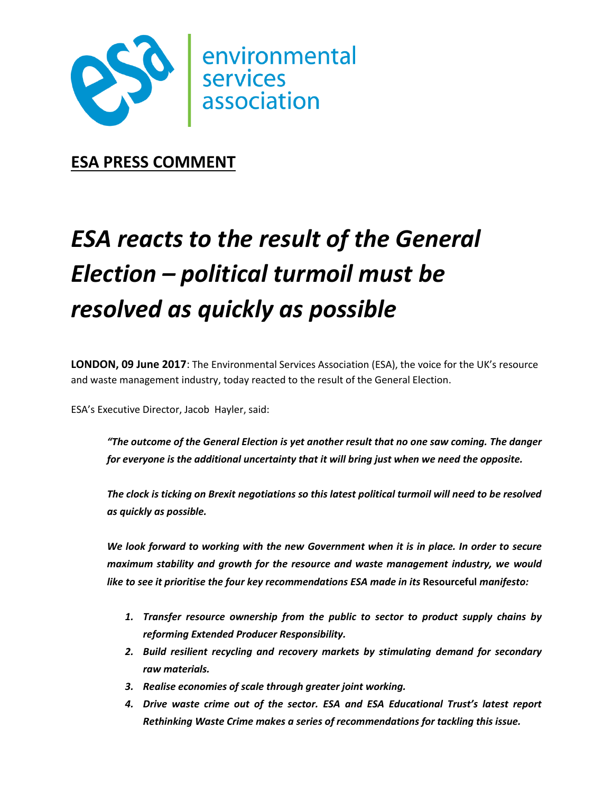

**ESA PRESS COMMENT**

## *ESA reacts to the result of the General Election – political turmoil must be resolved as quickly as possible*

**LONDON, 09 June 2017**: The Environmental Services Association (ESA), the voice for the UK's resource and waste management industry, today reacted to the result of the General Election.

ESA's Executive Director, Jacob Hayler, said:

*"The outcome of the General Election is yet another result that no one saw coming. The danger for everyone is the additional uncertainty that it will bring just when we need the opposite.*

*The clock is ticking on Brexit negotiations so this latest political turmoil will need to be resolved as quickly as possible.*

*We look forward to working with the new Government when it is in place. In order to secure maximum stability and growth for the resource and waste management industry, we would like to see it prioritise the four key recommendations ESA made in its* **Resourceful** *manifesto:*

- *1. Transfer resource ownership from the public to sector to product supply chains by reforming Extended Producer Responsibility.*
- *2. Build resilient recycling and recovery markets by stimulating demand for secondary raw materials.*
- *3. Realise economies of scale through greater joint working.*
- *4. Drive waste crime out of the sector. ESA and ESA Educational Trust's latest report Rethinking Waste Crime makes a series of recommendations for tackling this issue.*